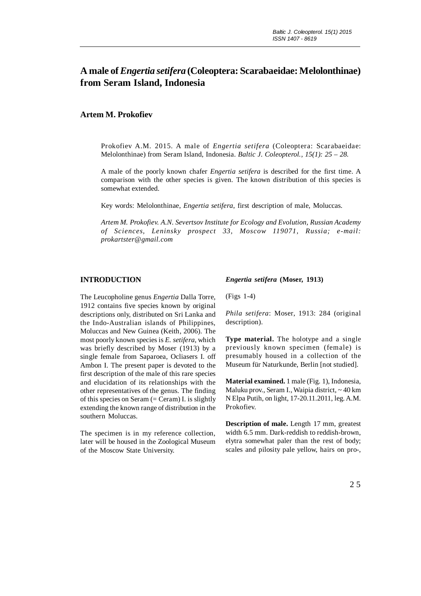# **A male of** *Engertia setifera* **(Coleoptera: Scarabaeidae: Melolonthinae) from Seram Island, Indonesia**

## **Artem M. Prokofiev**

Prokofiev A.M. 2015. A male of *Engertia setifera* (Coleoptera: Scarabaeidae: Melolonthinae) from Seram Island, Indonesia. *Baltic J. Coleopterol., 15(1): 25 – 28.*

A male of the poorly known chafer *Engertia setifera* is described for the first time. A comparison with the other species is given. The known distribution of this species is somewhat extended.

Key words: Melolonthinae, *Engertia setifera*, first description of male, Moluccas.

*Artem M. Prokofiev. A.N. Severtsov Institute for Ecology and Evolution, Russian Academy of Sciences, Leninsky prospect 33, Moscow 119071, Russia; e-mail: prokartster@gmail.com*

### **INTRODUCTION**

The Leucopholine genus *Engertia* Dalla Torre, 1912 contains five species known by original descriptions only, distributed on Sri Lanka and the Indo-Australian islands of Philippines, Moluccas and New Guinea (Keith, 2006). The most poorly known species is *E. setifera*, which was briefly described by Moser (1913) by a single female from Saparoea, Ocliasers I. off Ambon I. The present paper is devoted to the first description of the male of this rare species and elucidation of its relationships with the other representatives of the genus. The finding of this species on Seram  $(=$  Ceram) I. is slightly extending the known range of distribution in the southern Moluccas.

The specimen is in my reference collection, later will be housed in the Zoological Museum of the Moscow State University.

#### *Engertia setifera* **(Moser, 1913)**

(Figs 1-4)

*Phila setifera*: Moser, 1913: 284 (original description).

**Type material.** The holotype and a single previously known specimen (female) is presumably housed in a collection of the Museum für Naturkunde, Berlin [not studied].

**Material examined.** 1 male (Fig. 1), Indonesia, Maluku prov., Seram I., Waipia district, ~ 40 km N Elpa Putih, on light, 17-20.11.2011, leg. A.M. Prokofiev.

**Description of male.** Length 17 mm, greatest width 6.5 mm. Dark-reddish to reddish-brown, elytra somewhat paler than the rest of body; scales and pilosity pale yellow, hairs on pro-,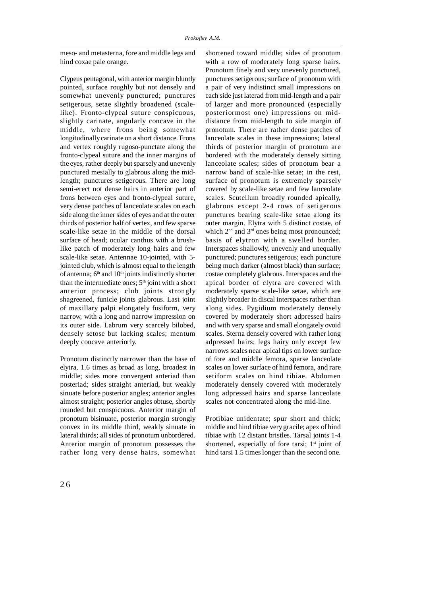meso- and metasterna, fore and middle legs and hind coxae pale orange.

Clypeus pentagonal, with anterior margin bluntly pointed, surface roughly but not densely and somewhat unevenly punctured; punctures setigerous, setae slightly broadened (scalelike). Fronto-clypeal suture conspicuous, slightly carinate, angularly concave in the middle, where frons being somewhat longitudinally carinate on a short distance. Frons and vertex roughly rugoso-punctate along the fronto-clypeal suture and the inner margins of the eyes, rather deeply but sparsely and unevenly punctured mesially to glabrous along the midlength; punctures setigerous. There are long semi-erect not dense hairs in anterior part of frons between eyes and fronto-clypeal suture, very dense patches of lanceolate scales on each side along the inner sides of eyes and at the outer thirds of posterior half of vertex, and few sparse scale-like setae in the middle of the dorsal surface of head; ocular canthus with a brushlike patch of moderately long hairs and few scale-like setae. Antennae 10-jointed, with 5 jointed club, which is almost equal to the length of antenna; 6<sup>th</sup> and 10<sup>th</sup> joints indistinctly shorter than the intermediate ones;  $5<sup>th</sup>$  joint with a short anterior process; club joints strongly shagreened, funicle joints glabrous. Last joint of maxillary palpi elongately fusiform, very narrow, with a long and narrow impression on its outer side. Labrum very scarcely bilobed, densely setose but lacking scales; mentum deeply concave anteriorly.

Pronotum distinctly narrower than the base of elytra, 1.6 times as broad as long, broadest in middle; sides more convergent anteriad than posteriad; sides straight anteriad, but weakly sinuate before posterior angles; anterior angles almost straight; posterior angles obtuse, shortly rounded but conspicuous. Anterior margin of pronotum bisinuate, posterior margin strongly convex in its middle third, weakly sinuate in lateral thirds; all sides of pronotum unbordered. Anterior margin of pronotum possesses the rather long very dense hairs, somewhat shortened toward middle; sides of pronotum with a row of moderately long sparse hairs. Pronotum finely and very unevenly punctured, punctures setigerous; surface of pronotum with a pair of very indistinct small impressions on each side just laterad from mid-length and a pair of larger and more pronounced (especially posteriormost one) impressions on middistance from mid-length to side margin of pronotum. There are rather dense patches of lanceolate scales in these impressions; lateral thirds of posterior margin of pronotum are bordered with the moderately densely sitting lanceolate scales; sides of pronotum bear a narrow band of scale-like setae; in the rest, surface of pronotum is extremely sparsely covered by scale-like setae and few lanceolate scales. Scutellum broadly rounded apically, glabrous except 2-4 rows of setigerous punctures bearing scale-like setae along its outer margin. Elytra with 5 distinct costae, of which  $2<sup>nd</sup>$  and  $3<sup>rd</sup>$  ones being most pronounced; basis of elytron with a swelled border. Interspaces shallowly, unevenly and unequally punctured; punctures setigerous; each puncture being much darker (almost black) than surface; costae completely glabrous. Interspaces and the apical border of elytra are covered with moderately sparse scale-like setae, which are slightly broader in discal interspaces rather than along sides. Pygidium moderately densely covered by moderately short adpressed hairs and with very sparse and small elongately ovoid scales. Sterna densely covered with rather long adpressed hairs; legs hairy only except few narrows scales near apical tips on lower surface of fore and middle femora, sparse lanceolate scales on lower surface of hind femora, and rare setiform scales on hind tibiae. Abdomen moderately densely covered with moderately long adpressed hairs and sparse lanceolate scales not concentrated along the mid-line.

Protibiae unidentate; spur short and thick; middle and hind tibiae very gracile; apex of hind tibiae with 12 distant bristles. Tarsal joints 1-4 shortened, especially of fore tarsi;  $1<sup>st</sup>$  joint of hind tarsi 1.5 times longer than the second one.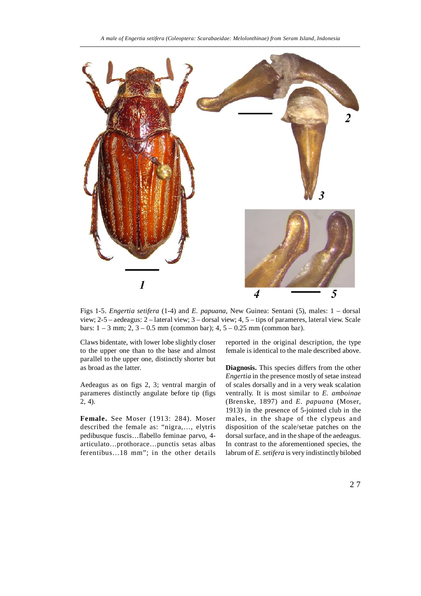

Figs 1-5. *Engertia setifera* (1-4) and *E. papuana*, New Guinea: Sentani (5), males: 1 – dorsal view; 2-5 – aedeagus: 2 – lateral view; 3 – dorsal view; 4, 5 – tips of parameres, lateral view. Scale bars:  $1 - 3$  mm;  $2$ ,  $3 - 0.5$  mm (common bar);  $4$ ,  $5 - 0.25$  mm (common bar).

Claws bidentate, with lower lobe slightly closer to the upper one than to the base and almost parallel to the upper one, distinctly shorter but as broad as the latter.

Aedeagus as on figs 2, 3; ventral margin of parameres distinctly angulate before tip (figs 2, 4).

**Female.** See Moser (1913: 284). Moser described the female as: "nigra,…, elytris pedibusque fuscis…flabello feminae parvo, 4 articulato…prothorace…punctis setas albas ferentibus…18 mm"; in the other details reported in the original description, the type female is identical to the male described above.

**Diagnosis.** This species differs from the other *Engertia* in the presence mostly of setae instead of scales dorsally and in a very weak scalation ventrally. It is most similar to *E. amboinae* (Brenske, 1897) and *E. papuana* (Moser, 1913) in the presence of 5-jointed club in the males, in the shape of the clypeus and disposition of the scale/setae patches on the dorsal surface, and in the shape of the aedeagus. In contrast to the aforementioned species, the labrum of *E. setifera* is very indistinctly bilobed